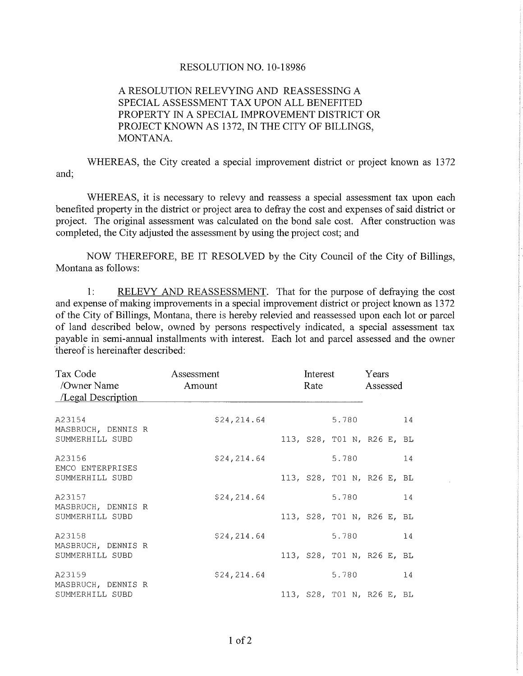## RESOLUTION NO. 1O-1 8986

## A RESOLUTION RELEVYING AND REASSESSING A SPECIAL ASSESSMENT TAX UPON ALL BENEFITED PROPERTY IN A SPECIAL IMPROVEMENT DISTRICT OR PROJECT KNOWN AS 1372, IN THE CITY OF BILLINGS, MONTANA.

WHEREAS, the City created a special improvement district or project known as 1372 and;

WHEREAS, it is necessary to relevy and reassess a special assessment tax upon each benefited property in the district or project area to defray the cost and expenses of said district or project. The original assessment was calculated on the bond sale cost. After construction was completed, the City adjusted the assessment by using the project cost; and

NOW THEREFORE, BE IT RESOLVED by the City Council of the City of Billings, Montana as follows:

1: RELEVY AND REASSESSMENT. That for the purpose of defraying the cost and expense of making improvements in a special improvement district or project known as 1372 of the City of Billings, Montana, there is hereby relevied and reassessed upon each lot or parcel of land described below, owned by persons respectively indicated, a special assessment tax payable in semi-annual installments with interest. Each lot and parcel assessed and the owner thereof is hereinafter described:

| Tax Code<br>/Owner Name<br>/Legal Description   | Assessment<br>Amount | Interest<br>Rate           | Years<br>Assessed |
|-------------------------------------------------|----------------------|----------------------------|-------------------|
| A23154<br>MASBRUCH, DENNIS R<br>SUMMERHILL SUBD | \$24, 214.64         | 5.780                      | 14                |
|                                                 |                      | 113, S28, T01 N, R26 E, BL |                   |
| A23156<br>EMCO ENTERPRISES                      | \$24,214.64          | 5.780                      | 14                |
| SUMMERHILL SUBD                                 |                      | 113, S28, T01 N, R26 E, BL |                   |
| A23157<br>MASBRUCH, DENNIS R                    | \$24,214.64          | 5.780                      | 14                |
| SUMMERHILL SUBD                                 |                      | 113, S28, T01 N, R26 E, BL |                   |
| A23158<br>MASBRUCH, DENNIS R                    | \$24,214.64          | 5.780                      | 14                |
| SUMMERHILL SUBD                                 |                      | 113, S28, T01 N, R26 E, BL |                   |
| A23159<br>MASBRUCH, DENNIS R                    | \$24,214.64          | 5.780                      | 14                |
| SUMMERHILL SUBD                                 |                      | 113, S28, T01 N, R26 E, BL |                   |